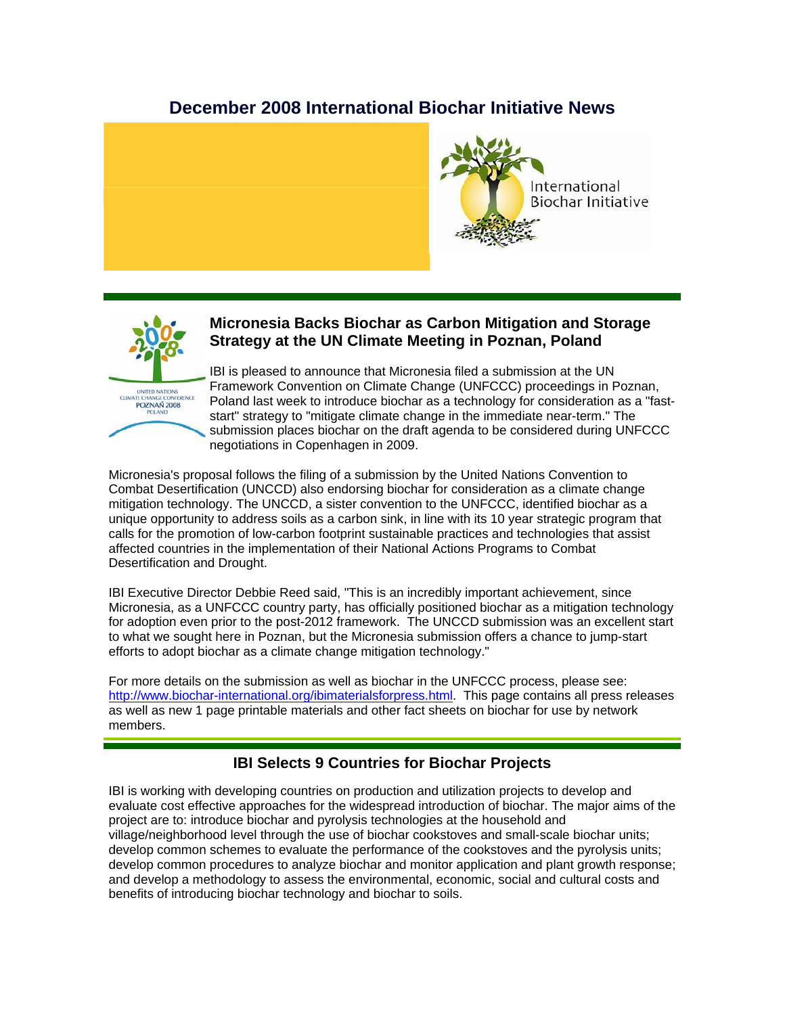# **December 2008 International Biochar Initiative News**





## **Micronesia Backs Biochar as Carbon Mitigation and Storage Strategy at the UN Climate Meeting in Poznan, Poland**

IBI is pleased to announce that Micronesia filed a submission at the UN Framework Convention on Climate Change (UNFCCC) proceedings in Poznan, Poland last week to introduce biochar as a technology for consideration as a "faststart" strategy to "mitigate climate change in the immediate near-term." The submission places biochar on the draft agenda to be considered during UNFCCC negotiations in Copenhagen in 2009.

Micronesia's proposal follows the filing of a submission by the United Nations Convention to Combat Desertification (UNCCD) also endorsing biochar for consideration as a climate change mitigation technology. The UNCCD, a sister convention to the UNFCCC, identified biochar as a unique opportunity to address soils as a carbon sink, in line with its 10 year strategic program that calls for the promotion of low-carbon footprint sustainable practices and technologies that assist affected countries in the implementation of their National Actions Programs to Combat Desertification and Drought.

IBI Executive Director Debbie Reed said, "This is an incredibly important achievement, since Micronesia, as a UNFCCC country party, has officially positioned biochar as a mitigation technology for adoption even prior to the post-2012 framework. The UNCCD submission was an excellent start to what we sought here in Poznan, but the Micronesia submission offers a chance to jump-start efforts to adopt biochar as a climate change mitigation technology."

For more details on the submission as well as biochar in the UNFCCC process, please see: http://www.biochar-international.org/ibimaterialsforpress.html. This page contains all press releases as well as new 1 page printable materials and other fact sheets on biochar for use by network members.

# **IBI Selects 9 Countries for Biochar Projects**

IBI is working with developing countries on production and utilization projects to develop and evaluate cost effective approaches for the widespread introduction of biochar. The major aims of the project are to: introduce biochar and pyrolysis technologies at the household and village/neighborhood level through the use of biochar cookstoves and small-scale biochar units; develop common schemes to evaluate the performance of the cookstoves and the pyrolysis units; develop common procedures to analyze biochar and monitor application and plant growth response; and develop a methodology to assess the environmental, economic, social and cultural costs and benefits of introducing biochar technology and biochar to soils.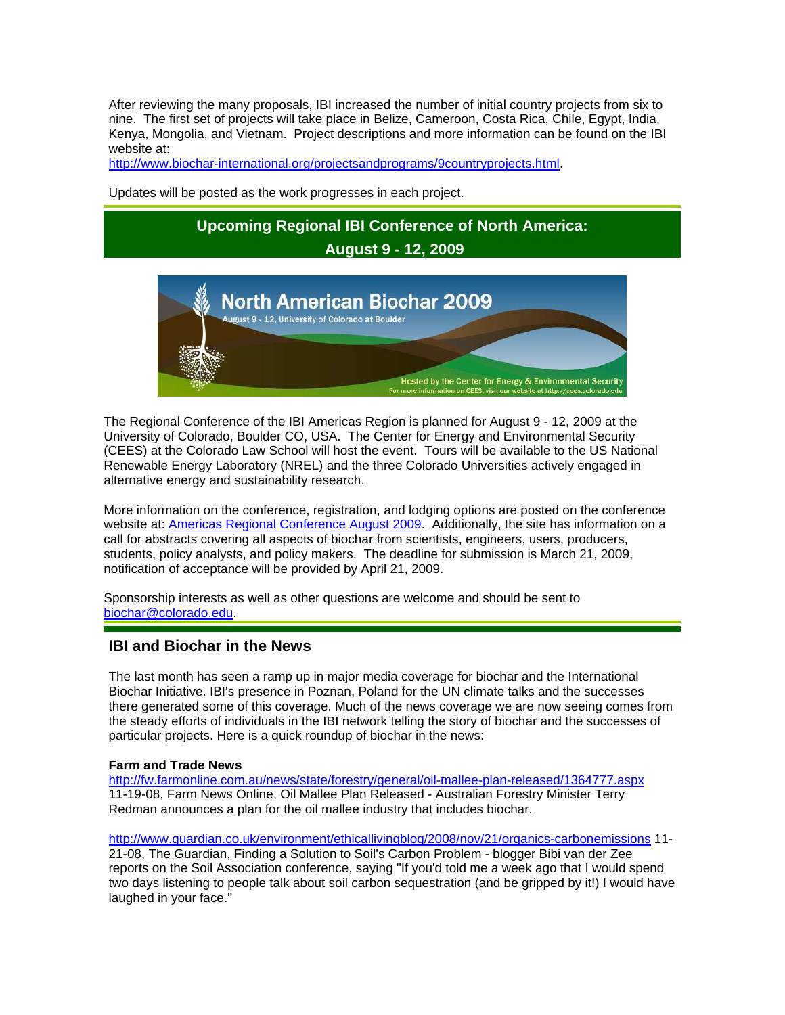After reviewing the many proposals, IBI increased the number of initial country projects from six to nine. The first set of projects will take place in Belize, Cameroon, Costa Rica, Chile, Egypt, India, Kenya, Mongolia, and Vietnam. Project descriptions and more information can be found on the IBI website at:

http://www.biochar-international.org/projectsandprograms/9countryprojects.html.

Updates will be posted as the work progresses in each project.

# **Upcoming Regional IBI Conference of North America: August 9 - 12, 2009**



The Regional Conference of the IBI Americas Region is planned for August 9 - 12, 2009 at the University of Colorado, Boulder CO, USA. The Center for Energy and Environmental Security (CEES) at the Colorado Law School will host the event. Tours will be available to the US National Renewable Energy Laboratory (NREL) and the three Colorado Universities actively engaged in alternative energy and sustainability research.

More information on the conference, registration, and lodging options are posted on the conference website at: Americas Regional Conference August 2009. Additionally, the site has information on a call for abstracts covering all aspects of biochar from scientists, engineers, users, producers, students, policy analysts, and policy makers. The deadline for submission is March 21, 2009, notification of acceptance will be provided by April 21, 2009.

Sponsorship interests as well as other questions are welcome and should be sent to biochar@colorado.edu.

### **IBI and Biochar in the News**

The last month has seen a ramp up in major media coverage for biochar and the International Biochar Initiative. IBI's presence in Poznan, Poland for the UN climate talks and the successes there generated some of this coverage. Much of the news coverage we are now seeing comes from the steady efforts of individuals in the IBI network telling the story of biochar and the successes of particular projects. Here is a quick roundup of biochar in the news:

#### **Farm and Trade News**

http://fw.farmonline.com.au/news/state/forestry/general/oil-mallee-plan-released/1364777.aspx 11-19-08, Farm News Online, Oil Mallee Plan Released - Australian Forestry Minister Terry Redman announces a plan for the oil mallee industry that includes biochar.

http://www.guardian.co.uk/environment/ethicallivingblog/2008/nov/21/organics-carbonemissions 11- 21-08, The Guardian, Finding a Solution to Soil's Carbon Problem - blogger Bibi van der Zee reports on the Soil Association conference, saying "If you'd told me a week ago that I would spend two days listening to people talk about soil carbon sequestration (and be gripped by it!) I would have laughed in your face."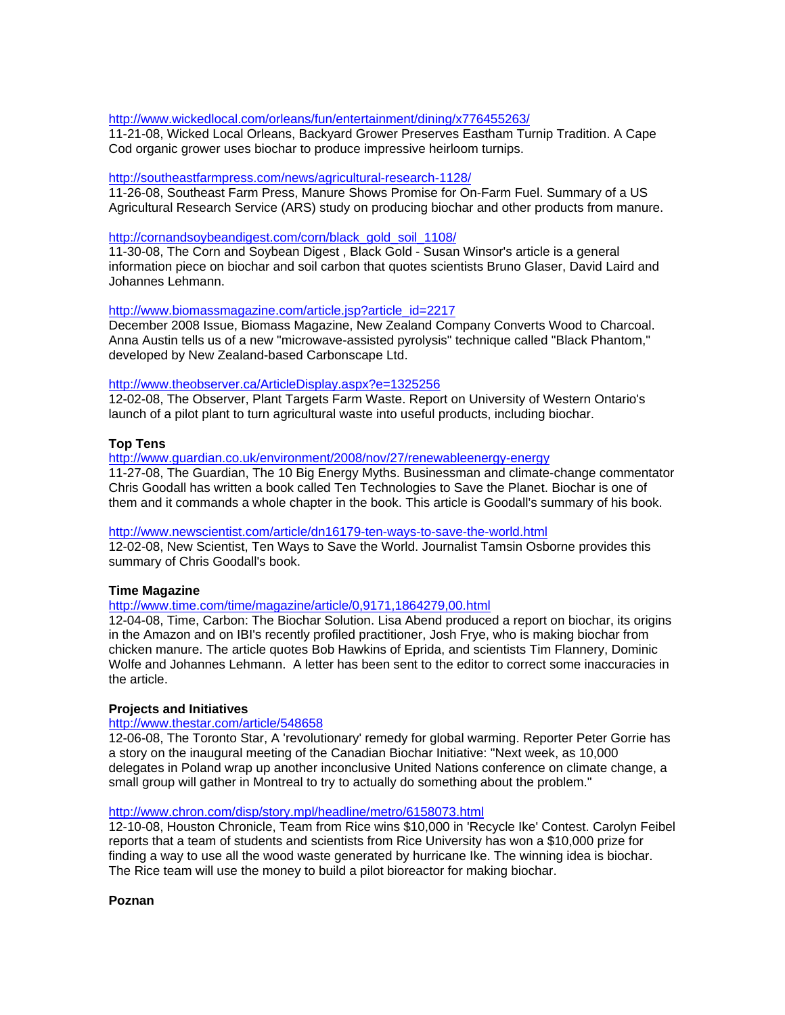#### http://www.wickedlocal.com/orleans/fun/entertainment/dining/x776455263/

11-21-08, Wicked Local Orleans, Backyard Grower Preserves Eastham Turnip Tradition. A Cape Cod organic grower uses biochar to produce impressive heirloom turnips.

#### http://southeastfarmpress.com/news/agricultural-research-1128/

11-26-08, Southeast Farm Press, Manure Shows Promise for On-Farm Fuel. Summary of a US Agricultural Research Service (ARS) study on producing biochar and other products from manure.

#### http://cornandsoybeandigest.com/corn/black\_gold\_soil\_1108/

11-30-08, The Corn and Soybean Digest , Black Gold - Susan Winsor's article is a general information piece on biochar and soil carbon that quotes scientists Bruno Glaser, David Laird and Johannes Lehmann.

#### http://www.biomassmagazine.com/article.jsp?article\_id=2217

December 2008 Issue, Biomass Magazine, New Zealand Company Converts Wood to Charcoal. Anna Austin tells us of a new "microwave-assisted pyrolysis" technique called "Black Phantom," developed by New Zealand-based Carbonscape Ltd.

#### http://www.theobserver.ca/ArticleDisplay.aspx?e=1325256

12-02-08, The Observer, Plant Targets Farm Waste. Report on University of Western Ontario's launch of a pilot plant to turn agricultural waste into useful products, including biochar.

#### **Top Tens**

http://www.guardian.co.uk/environment/2008/nov/27/renewableenergy-energy

11-27-08, The Guardian, The 10 Big Energy Myths. Businessman and climate-change commentator Chris Goodall has written a book called Ten Technologies to Save the Planet. Biochar is one of them and it commands a whole chapter in the book. This article is Goodall's summary of his book.

#### http://www.newscientist.com/article/dn16179-ten-ways-to-save-the-world.html

12-02-08, New Scientist, Ten Ways to Save the World. Journalist Tamsin Osborne provides this summary of Chris Goodall's book.

#### **Time Magazine**

#### http://www.time.com/time/magazine/article/0,9171,1864279,00.html

12-04-08, Time, Carbon: The Biochar Solution. Lisa Abend produced a report on biochar, its origins in the Amazon and on IBI's recently profiled practitioner, Josh Frye, who is making biochar from chicken manure. The article quotes Bob Hawkins of Eprida, and scientists Tim Flannery, Dominic Wolfe and Johannes Lehmann. A letter has been sent to the editor to correct some inaccuracies in the article.

#### **Projects and Initiatives**

#### http://www.thestar.com/article/548658

12-06-08, The Toronto Star, A 'revolutionary' remedy for global warming. Reporter Peter Gorrie has a story on the inaugural meeting of the Canadian Biochar Initiative: "Next week, as 10,000 delegates in Poland wrap up another inconclusive United Nations conference on climate change, a small group will gather in Montreal to try to actually do something about the problem."

#### http://www.chron.com/disp/story.mpl/headline/metro/6158073.html

12-10-08, Houston Chronicle, Team from Rice wins \$10,000 in 'Recycle Ike' Contest. Carolyn Feibel reports that a team of students and scientists from Rice University has won a \$10,000 prize for finding a way to use all the wood waste generated by hurricane Ike. The winning idea is biochar. The Rice team will use the money to build a pilot bioreactor for making biochar.

**Poznan**